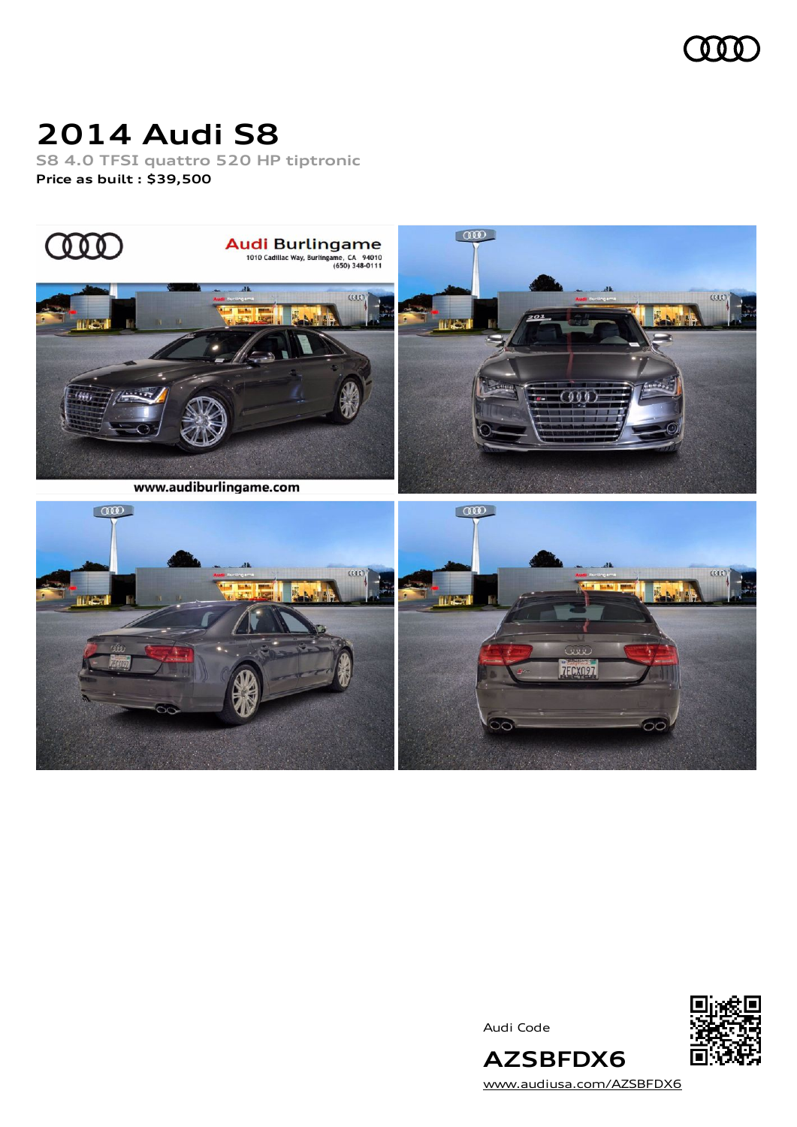

### **2014 Audi S8**

**S8 4.0 TFSI quattro 520 HP tiptronic Price as built [:](#page-7-0) \$39,500**



Audi Code



[www.audiusa.com/AZSBFDX6](https://www.audiusa.com/AZSBFDX6)

**AZSBFDX6**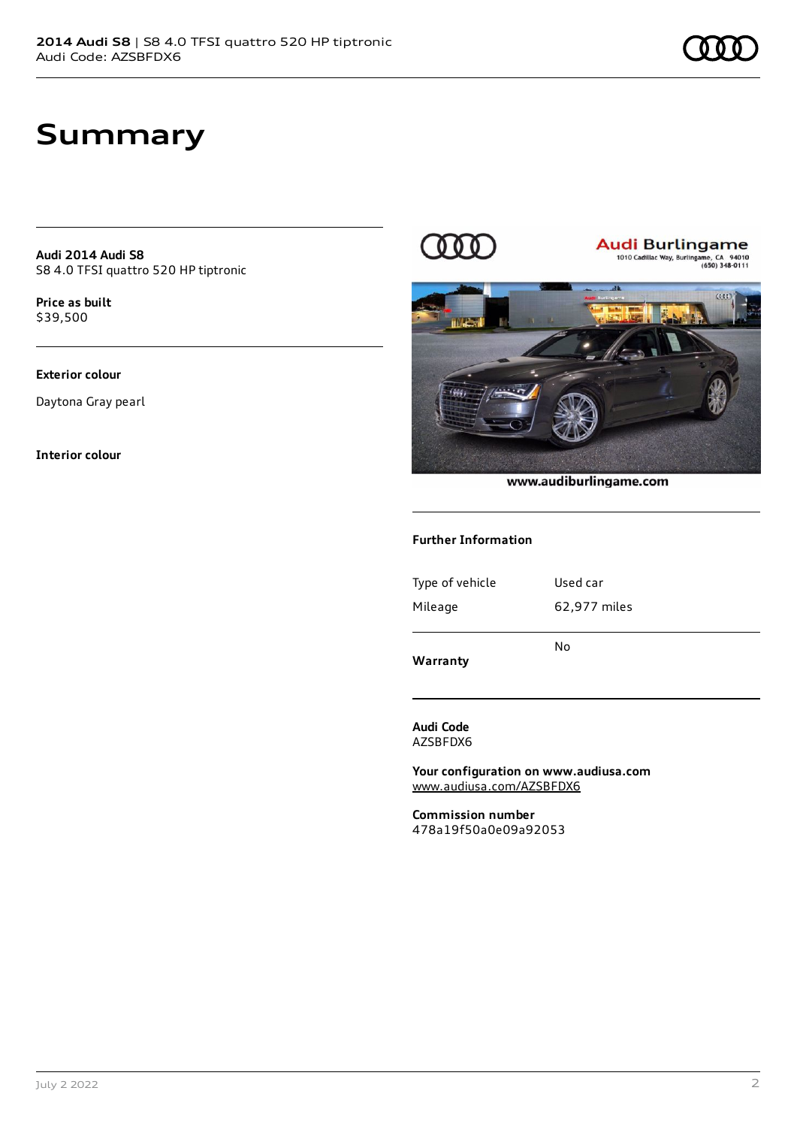### **Summary**

**Audi 2014 Audi S8** S8 4.0 TFSI quattro 520 HP tiptronic

**Price as buil[t](#page-7-0)** \$39,500

### **Exterior colour**

Daytona Gray pearl

**Interior colour**



**Audi Burlingame**<br>1010 Cadillac Way, Burlingame, CA 94010



#### www.audiburlingame.com

#### **Further Information**

| Warranty        | No           |
|-----------------|--------------|
| Mileage         | 62,977 miles |
| Type of vehicle | Used car     |
|                 |              |

**Audi Code** AZSBFDX6

**Your configuration on www.audiusa.com** [www.audiusa.com/AZSBFDX6](https://www.audiusa.com/AZSBFDX6)

**Commission number** 478a19f50a0e09a92053

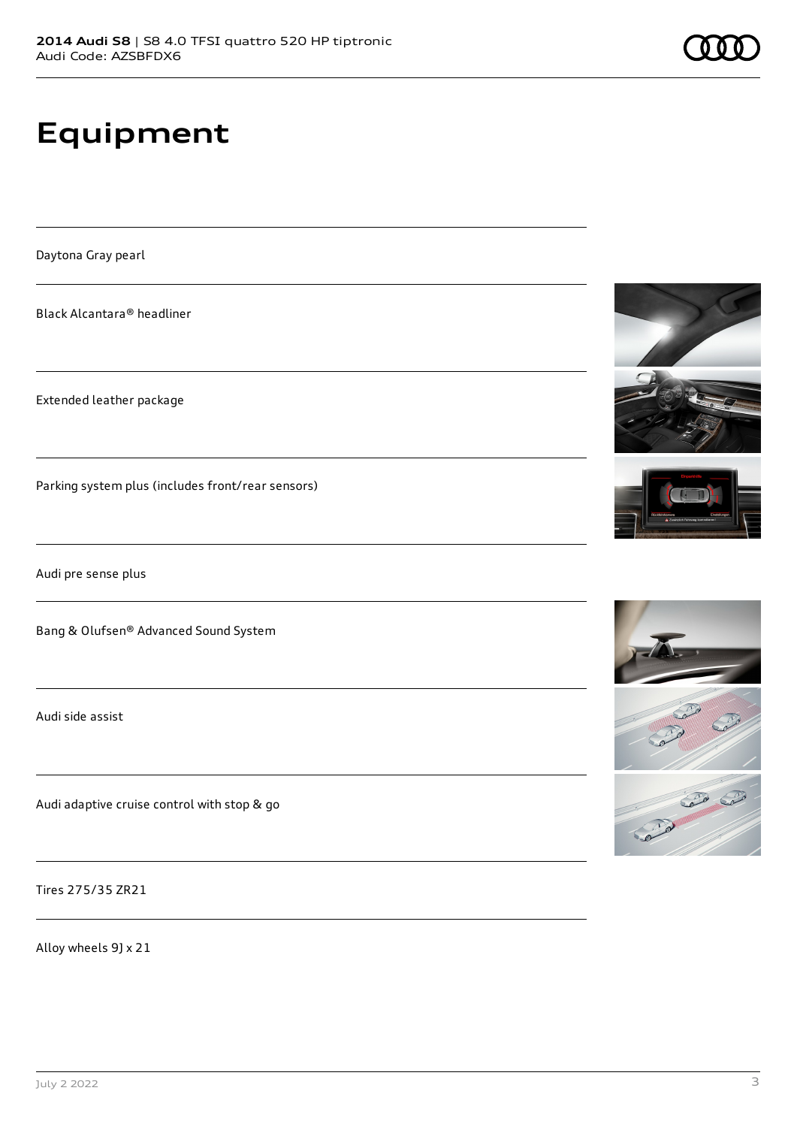# **Equipment**

Daytona Gray pearl

Black Alcantara® headliner

Extended leather package

Parking system plus (includes front/rear sensors)

Audi pre sense plus

Bang & Olufsen® Advanced Sound System

Audi side assist

Audi adaptive cruise control with stop & go

Tires 275/35 ZR21

Alloy wheels 9J x 21





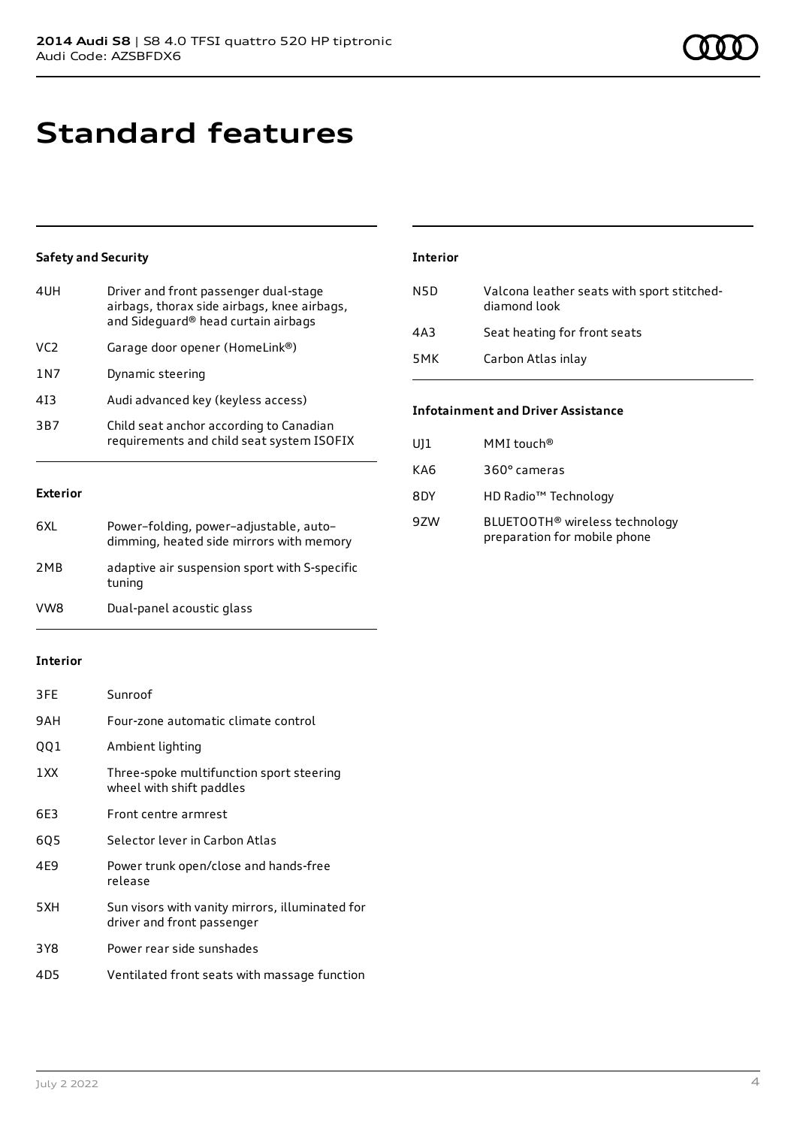### **Standard features**

### **Safety and Security**

| Driver and front passenger dual-stage<br>airbags, thorax side airbags, knee airbags,<br>and Sideguard® head curtain airbags |
|-----------------------------------------------------------------------------------------------------------------------------|
| Garage door opener (HomeLink®)                                                                                              |
| Dynamic steering                                                                                                            |
| Audi advanced key (keyless access)                                                                                          |
| Child seat anchor according to Canadian<br>requirements and child seat system ISOFIX                                        |
|                                                                                                                             |

### **Exterior**

| 6XL | Power-folding, power-adjustable, auto-<br>dimming, heated side mirrors with memory |
|-----|------------------------------------------------------------------------------------|
| 2MB | adaptive air suspension sport with S-specific<br>tuning                            |
| VW8 | Dual-panel acoustic glass                                                          |

#### **Interior**

| 3FE   | Sunroof                                                                       |
|-------|-------------------------------------------------------------------------------|
| 9AH   | Four-zone automatic climate control                                           |
| QQ1   | Ambient lighting                                                              |
| 1 XX  | Three-spoke multifunction sport steering<br>wheel with shift paddles          |
| 6E3   | Front centre armrest                                                          |
| 605   | Selector lever in Carbon Atlas                                                |
| 4E9   | Power trunk open/close and hands-free<br>release                              |
| 5XH   | Sun visors with vanity mirrors, illuminated for<br>driver and front passenger |
| 3 Y 8 | Power rear side sunshades                                                     |
| 4D5   | Ventilated front seats with massage function                                  |

### **Interior**

| N5D | Valcona leather seats with sport stitched-<br>diamond look |
|-----|------------------------------------------------------------|
| 4A3 | Seat heating for front seats                               |
| 5MK | Carbon Atlas inlay                                         |

### **Infotainment and Driver Assistance**

| UJ1 | MMI touch <sup>®</sup>                                                     |
|-----|----------------------------------------------------------------------------|
| KA6 | 360° cameras                                                               |
| 8DY | HD Radio <sup>™</sup> Technology                                           |
| 9ZW | BLUETOOTH <sup>®</sup> wireless technology<br>preparation for mobile phone |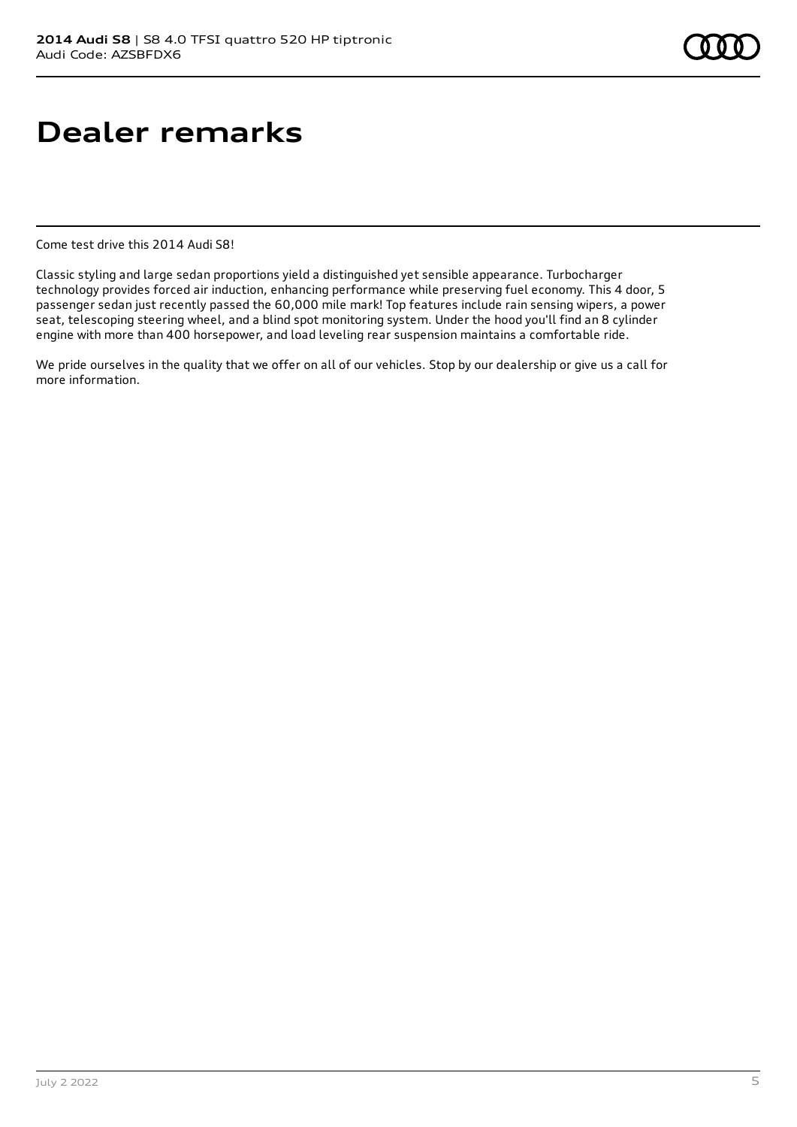## **Dealer remarks**

Come test drive this 2014 Audi S8!

Classic styling and large sedan proportions yield a distinguished yet sensible appearance. Turbocharger technology provides forced air induction, enhancing performance while preserving fuel economy. This 4 door, 5 passenger sedan just recently passed the 60,000 mile mark! Top features include rain sensing wipers, a power seat, telescoping steering wheel, and a blind spot monitoring system. Under the hood you'll find an 8 cylinder engine with more than 400 horsepower, and load leveling rear suspension maintains a comfortable ride.

We pride ourselves in the quality that we offer on all of our vehicles. Stop by our dealership or give us a call for more information.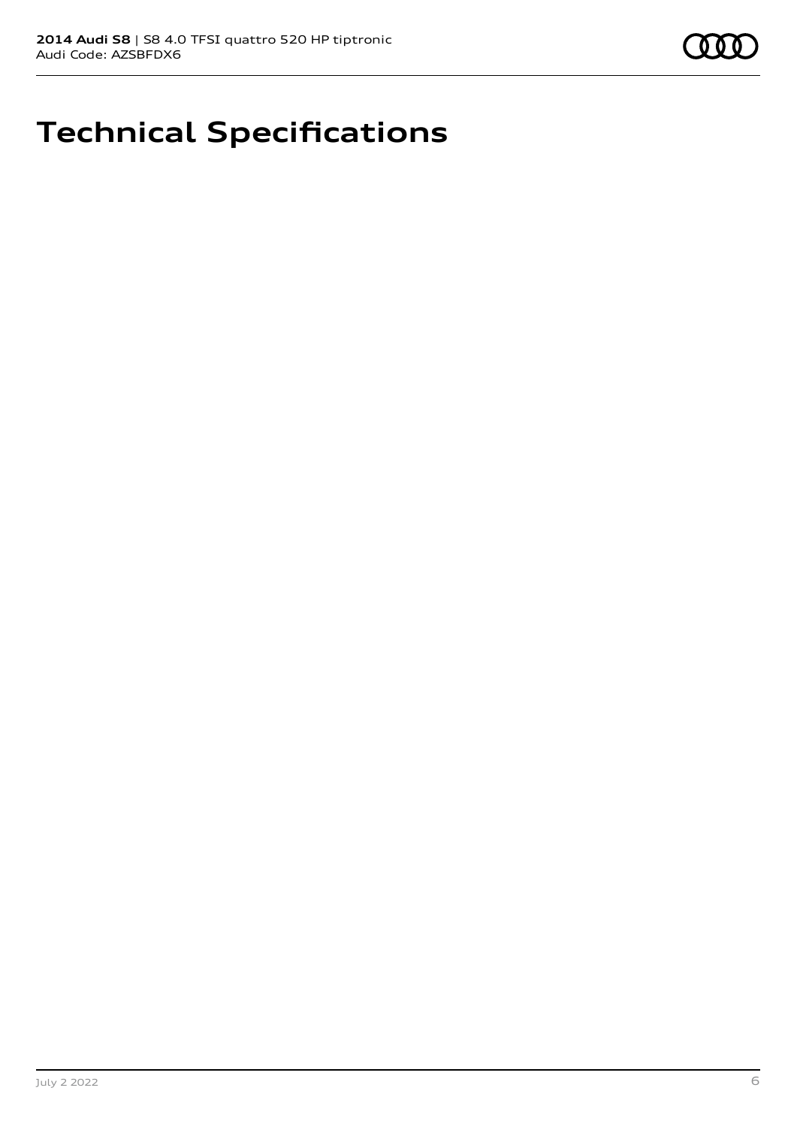# **Technical Specifications**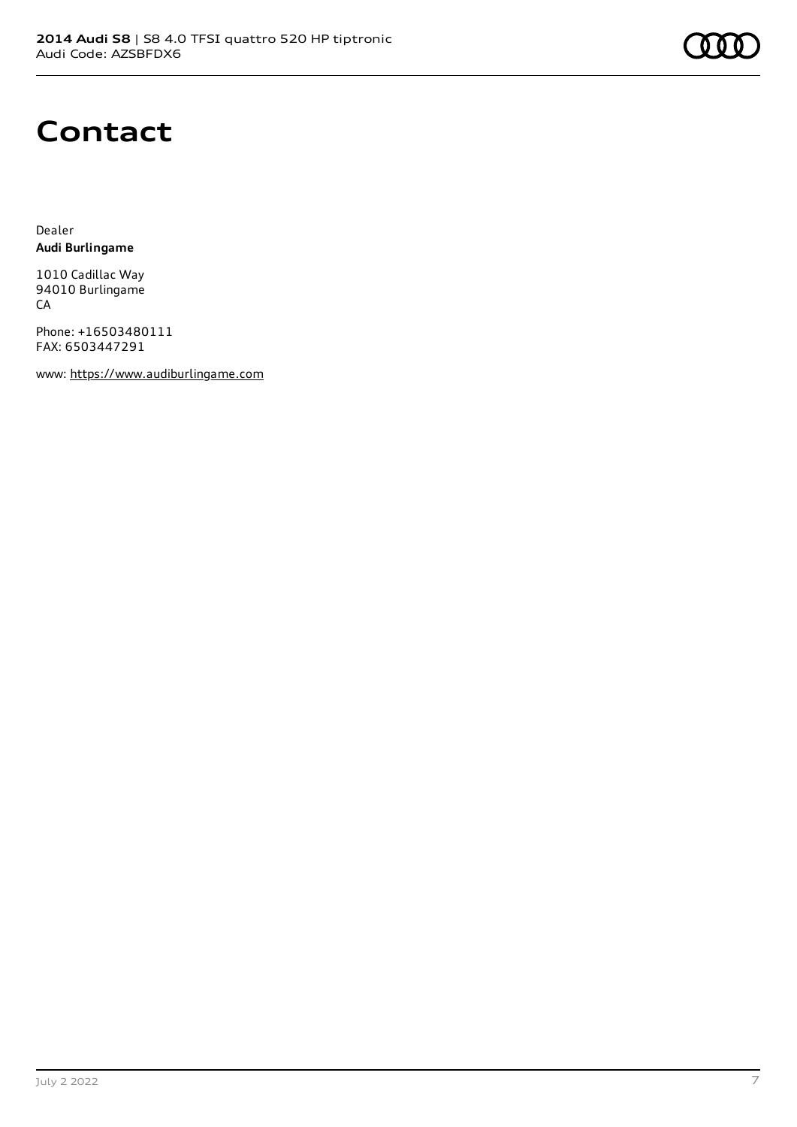

### **Contact**

Dealer **Audi Burlingame**

1010 Cadillac Way 94010 Burlingame CA

Phone: +16503480111 FAX: 6503447291

www: [https://www.audiburlingame.com](https://www.audiburlingame.com/)